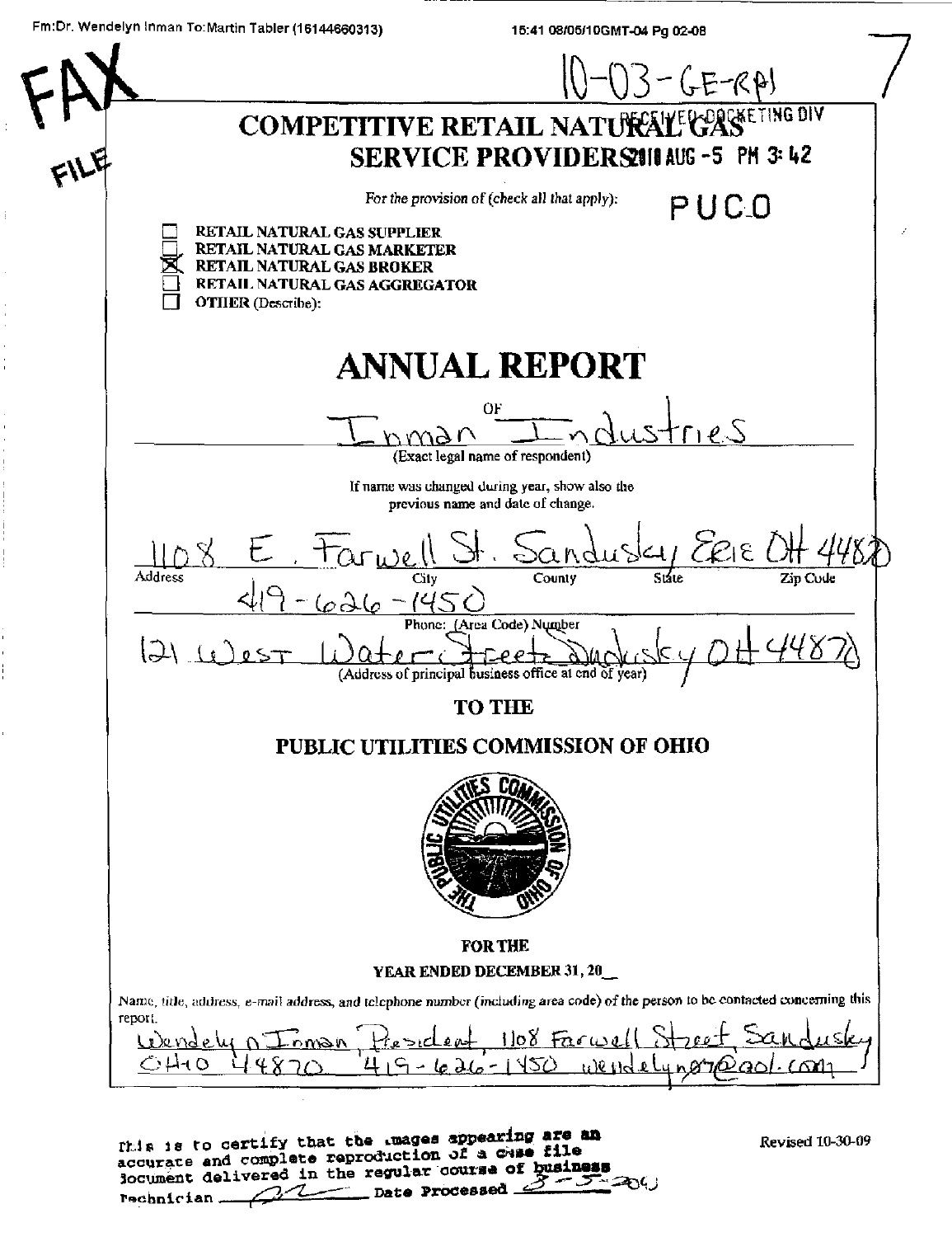15:41 08/05/10GMT-04 Pg 02-08



| This is to certify that the images appearing are me  |
|------------------------------------------------------|
| iccurate and complete reproduction of a chas file    |
| locument delivered in the regular course of business |
| rechnician 21 Date Processed 3-504                   |

Revised 10-30-09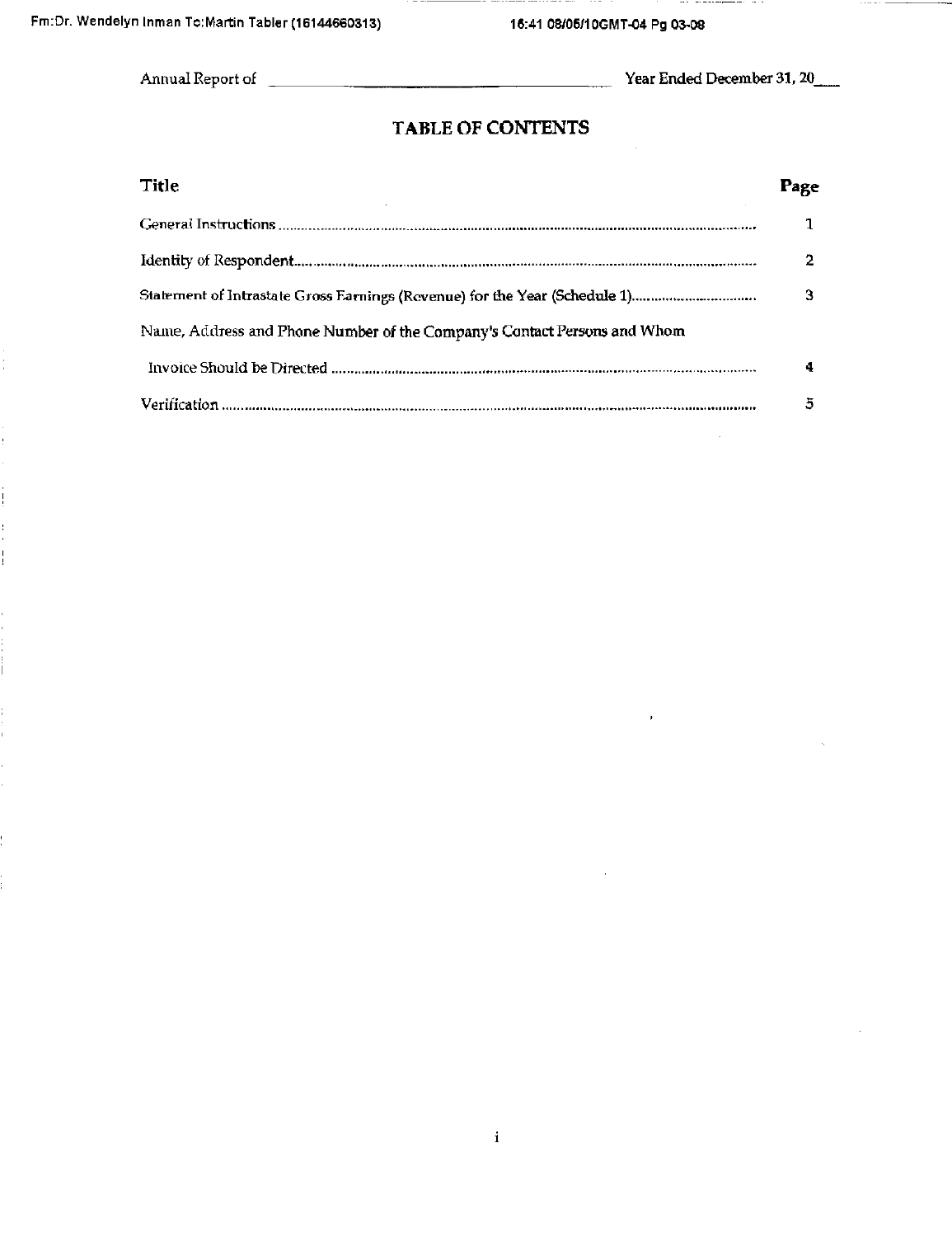$\frac{1}{1}$ 

# **TABLE OF CONTENTS**

| <b>Title</b>                                                             | Page |
|--------------------------------------------------------------------------|------|
|                                                                          |      |
|                                                                          | 2    |
|                                                                          | З    |
| Name, Address and Phone Number of the Company's Contact Persons and Whom |      |
|                                                                          | 4    |
|                                                                          | 5    |

 $\mathbf i$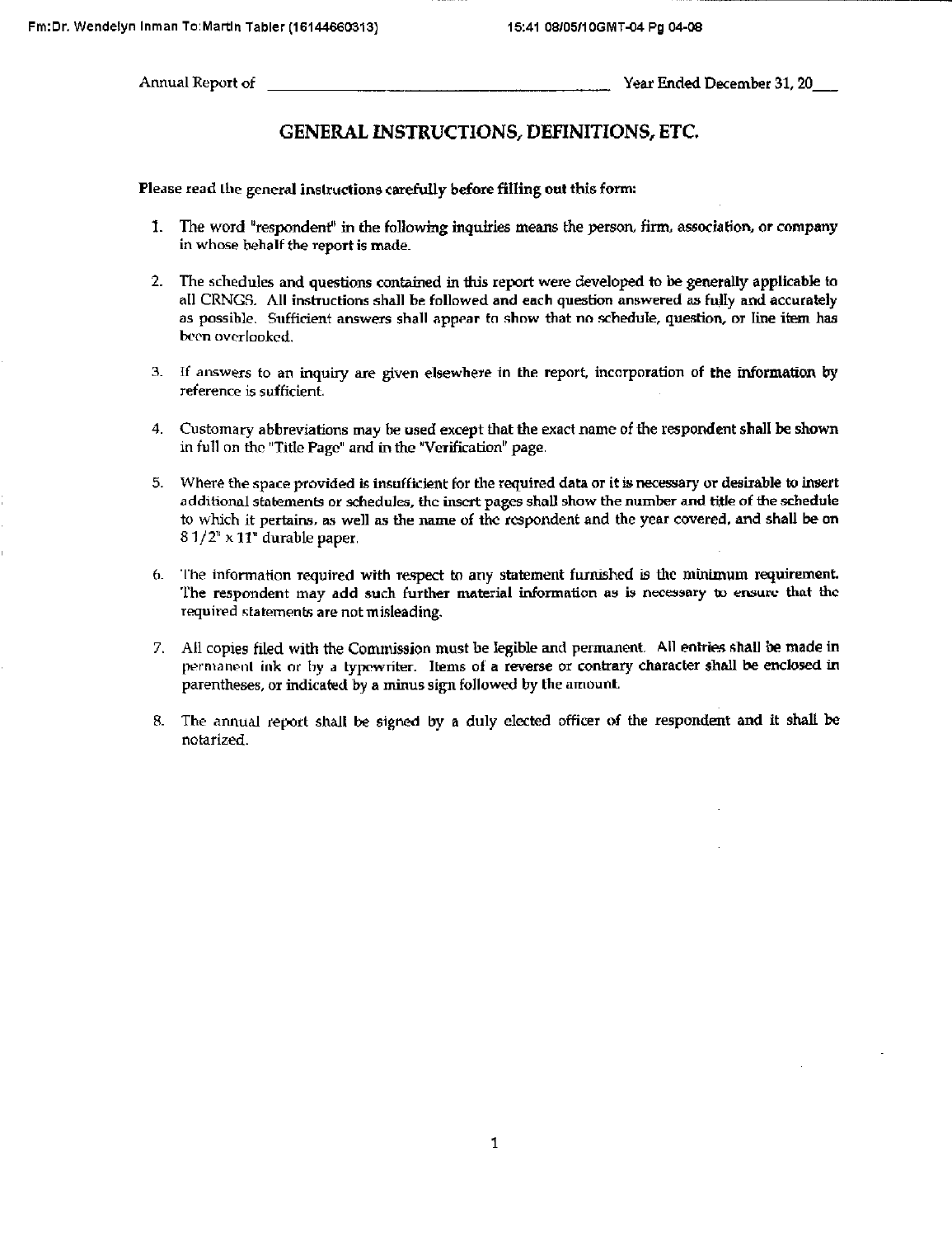Annual Report of Year Ended December 31, 20

## GENERAL INSTRUCTIONS, DEFINITIONS, ETC

Please read ihe general inslructions carefully before filling out this form:

- 1. The word "respondent" in the following inquiries means the person, firm, association, or company in whose behalf the report is made
- 2. The schedules and questions contained in this report were developed to be generally applicable to all CRNGS. All instructions shall be followed and each question answered as fully and accurately as possible. Sufficient answers shall appear to show that no schedule, question, or line item has been overlooked.
- 3. If answers to an inquuy are given elsewhere in the report, incorporation of the information by reference is sufficient
- 4. Customary abbreviations may be used except that the exact name of the respondent shall be shown in full on the "Title Page" and in the "Verification" page.
- 5. Where the space provided is insufficient for the required data or it is necessary or desirable to insert additional statements or schedules, the insert pages shall show the number and title of the schedule to which it pertains, as well as the name of the respondent and the year covered, and shall be on  $81/2$ <sup>\*</sup> x 11<sup>\*</sup> durable paper.
- 6. The information required with respect to any statement furnished is the minimum requirement. The respondent may add such further material information as is necessary to ensure that tho required statements are not misleading.
- 7. All copies filed with the Commission must be legible and permanent. All entries shall be made in permanent ink or by a typewriter. Items of a reverse or contrary character shall be enclosed in parentheses, or indicated by a minus sign followed by the amount
- 8. The annual report shall be signed by a duly elected ofiicer of the respondent and it shall be notarized.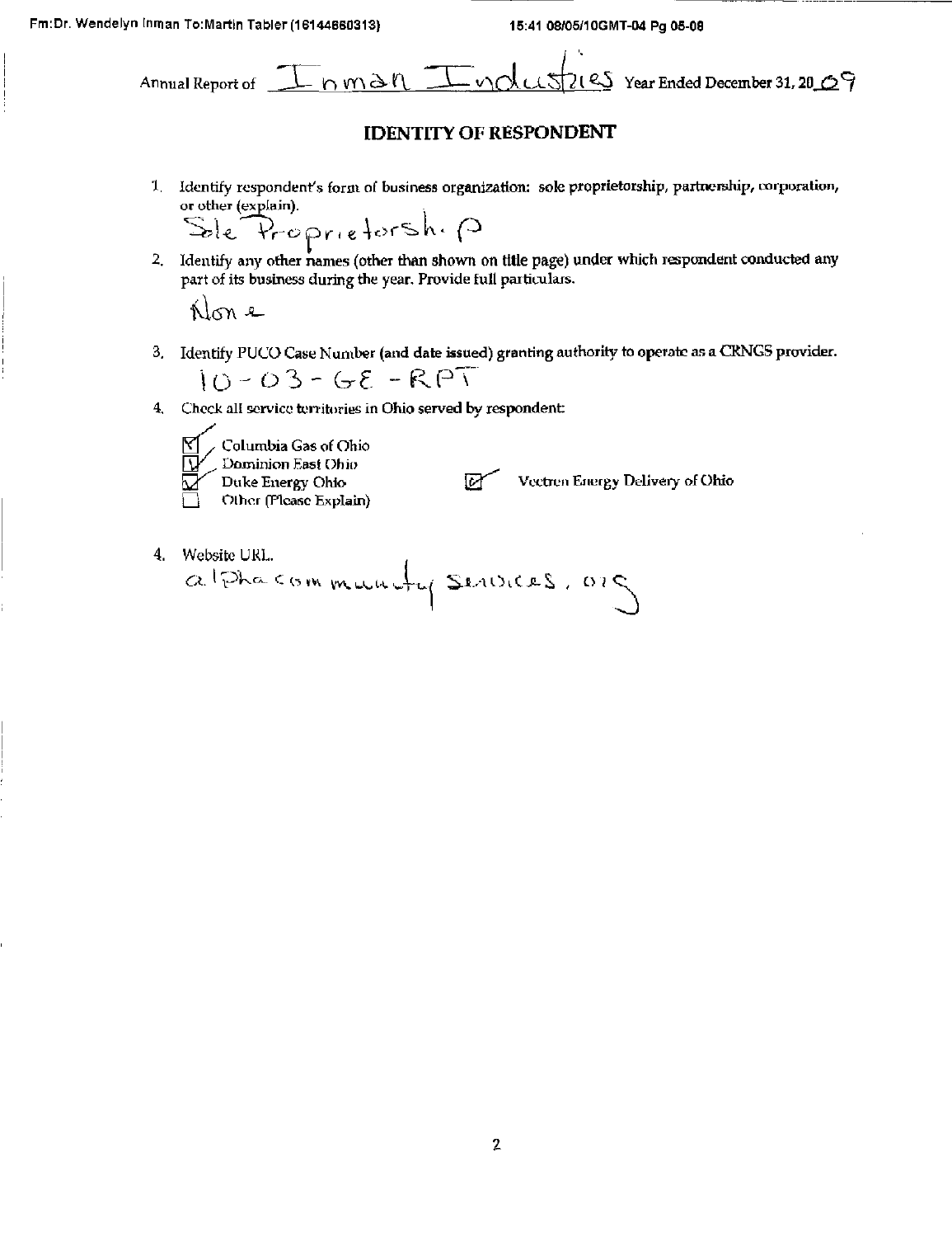Fm:Dr. Wendelyn Inman To:Martin Tabler (16144660313) 15:41 08/05/10GMT-04 Pg 05-08

 $\mathbf{r}$ 

Annual Report of \_J ^ r^\p(^^X\ \_ ^—v'\C-kLX^2{' :'ILXSPC ^ Year Ended December 31,20j:^ ^

# **IDENTITY OF RESPONDENT**

1. Identify respondent's form of business organization: sole proprietorship, partnerehip, corporation,

or other (explain).<br>Sele Proprietorship

2. Identify any other names (other than shown on title page) under which respondent conducted any part of its business during the year. Provide full particulars.

Hon e

3. Identify PUCO Case Number (and date issued) granting authority to operate as a CRNGS provider.

$$
10 - 03 - 68 - RPT
$$

4. Check all service territories in Ohio served by respondent:



Vectren Energy Delivery of Ohio

4. Website URL.<br> $a!$  Pha community Services. 025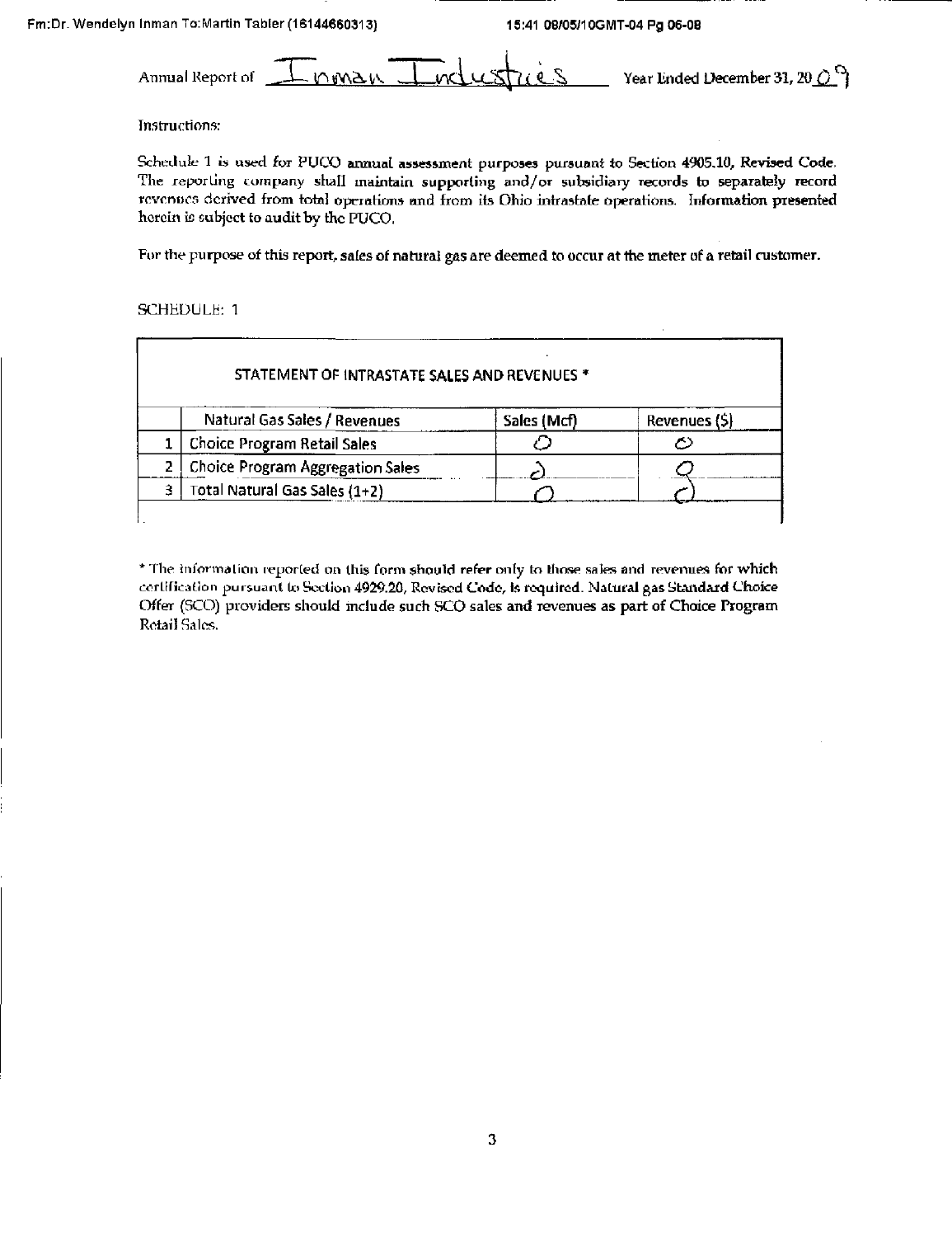Annual Report of  $\perp$   $\cap$   $\mathsf{MAX}$ Year Ended December 31, 20  $O^\Omega$ 

Instructions:

Schedule 1 is used for PUCO annual assessment purposes pursuant to Section 4905.10, Revised Code. The reporting company shall maintain supporting and/or subsidiary records to separately record revenues derived from total operations and from its Ohio intrastate operations. Information presented herein is subject to audit by the PUCO.

For the purpose of this report, sales of natural gas are deemed to occur at the meter of a retail customer.

### SCHEDULE: 1

| STATEMENT OF INTRASTATE SALES AND REVENUES * |                                         |             |              |  |
|----------------------------------------------|-----------------------------------------|-------------|--------------|--|
|                                              | Natural Gas Sales / Revenues            | Sales (Mcf) | Revenues (5) |  |
|                                              | <b>Choice Program Retail Sales</b>      |             |              |  |
|                                              | <b>Choice Program Aggregation Sales</b> |             |              |  |
|                                              | Total Natural Gas Sales (1+2)           |             |              |  |
|                                              |                                         |             |              |  |

\* The information reported on this form should refer only to those sales and revenues for which certification pursuant to Section 4929.20, Revised Code, is required. Natural gas Standard Choice Offer (SCO) providers should include such SCO sales and revenues as part of Choice Program Retail Sales.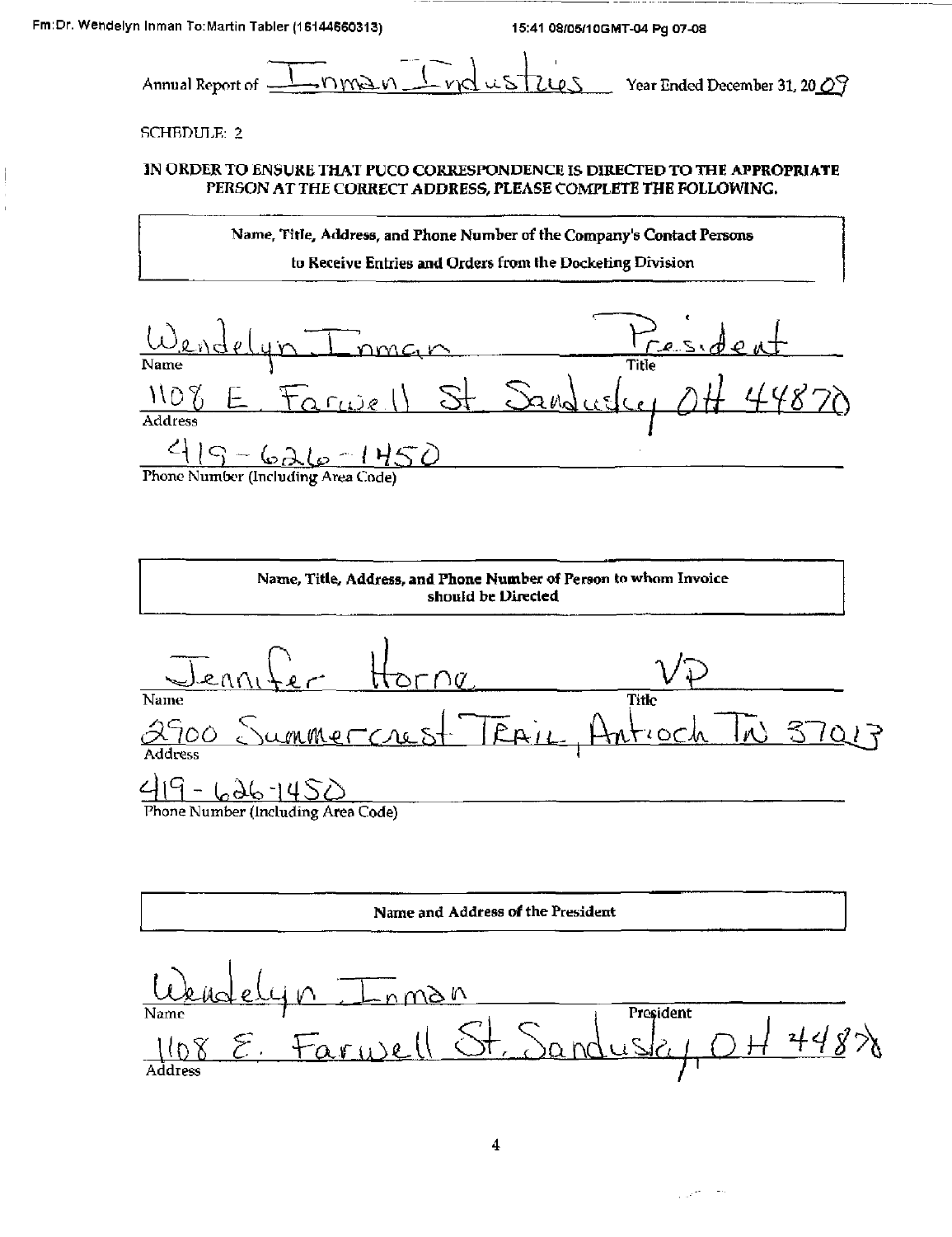Annual Report of  $\frac{1}{\sqrt{N}}$ nvel  $\frac{1}{\sqrt{N}}$  vol us  $\frac{1}{N}$ legs Year Ended December 31, 20 0  $\frac{1}{3}$ 

### SCHEDULE: 2

### 3N ORDER TO ENSJUKE THAT PUCO CORRESPONDENCE IS DIRECTED TO THE APPROPRIATE PERSON AT THE CORRECT ADDRESS, PLEASE COMPLETE THE FOLLOWING.

Name, Title, Address, and Phone Number of the Company's Contact Persons to Receive Entries and Orders from Ihe Docketing Division

 $\underbrace{\omega_{\ell,\text{v}}}\text{d}e(\psi\cdot\text{Imm}\epsilon\cdot\gamma)$ Name **Name South Section 2**  $\frac{1108}{2}$  E. Farwell St. Sandwelcy  $\overline{OH}$  44870 Address  $415-626-1450$  $\sqrt{2}$ 

Phone Number (Including Area Code)

Name, Title, Address, and Phone Number of Person to whom Invoice should be Directed  $\frac{1}{\text{Name}}$  Horne Name Title <u>-Crust TEAir, Antioch TN 3701</u>7  $\frac{\lambda \Omega}{\Delta d$  dress <u>419 - 626 1450 </u> Phone Number (Including Area Code)

Name and Address of the President n Inman<br>Farwell St. Sandusky <u>Urndel</u>  $448\%$  $\widehat{\epsilon}$ . Address */*